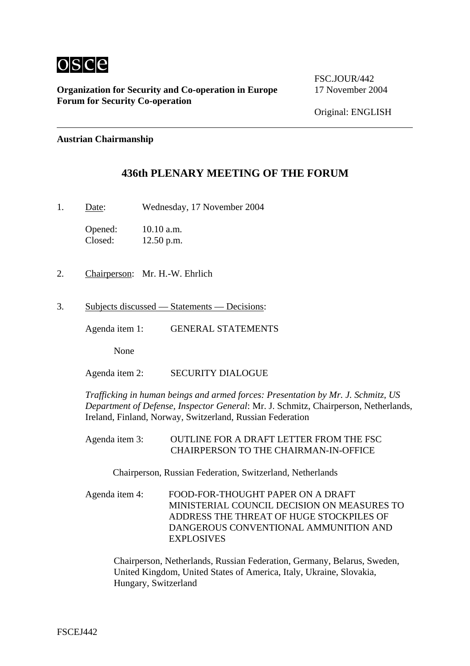

**Organization for Security and Co-operation in Europe** 17 November 2004 **Forum for Security Co-operation**

FSC.JOUR/442

### **Austrian Chairmanship**

# **436th PLENARY MEETING OF THE FORUM**

1. Date: Wednesday, 17 November 2004

Opened: 10.10 a.m. Closed: 12.50 p.m.

- 2. Chairperson: Mr. H.-W. Ehrlich
- 3. Subjects discussed Statements Decisions:

Agenda item 1: GENERAL STATEMENTS

None

Agenda item 2: SECURITY DIALOGUE

*Trafficking in human beings and armed forces: Presentation by Mr. J. Schmitz, US Department of Defense, Inspector General*: Mr. J. Schmitz, Chairperson, Netherlands, Ireland, Finland, Norway, Switzerland, Russian Federation

Agenda item 3: OUTLINE FOR A DRAFT LETTER FROM THE FSC CHAIRPERSON TO THE CHAIRMAN-IN-OFFICE

Chairperson, Russian Federation, Switzerland, Netherlands

Agenda item 4: FOOD-FOR-THOUGHT PAPER ON A DRAFT MINISTERIAL COUNCIL DECISION ON MEASURES TO ADDRESS THE THREAT OF HUGE STOCKPILES OF DANGEROUS CONVENTIONAL AMMUNITION AND EXPLOSIVES

Chairperson, Netherlands, Russian Federation, Germany, Belarus, Sweden, United Kingdom, United States of America, Italy, Ukraine, Slovakia, Hungary, Switzerland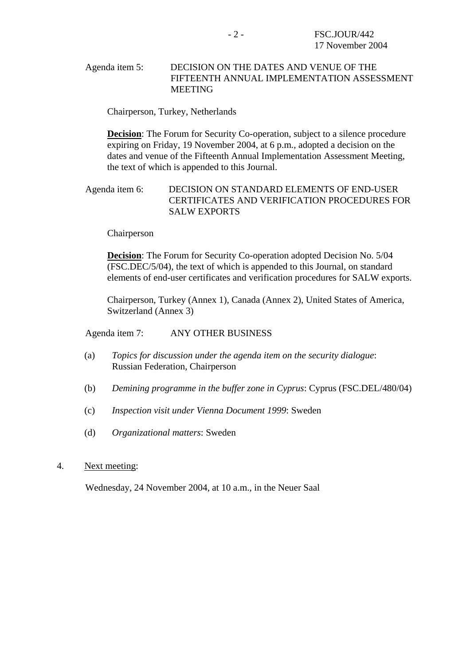### Agenda item 5: DECISION ON THE DATES AND VENUE OF THE FIFTEENTH ANNUAL IMPLEMENTATION ASSESSMENT MEETING

Chairperson, Turkey, Netherlands

**Decision:** The Forum for Security Co-operation, subject to a silence procedure expiring on Friday, 19 November 2004, at 6 p.m., adopted a decision on the dates and venue of the Fifteenth Annual Implementation Assessment Meeting, the text of which is appended to this Journal.

## Agenda item 6: DECISION ON STANDARD ELEMENTS OF END-USER CERTIFICATES AND VERIFICATION PROCEDURES FOR SALW EXPORTS

Chairperson

**Decision**: The Forum for Security Co-operation adopted Decision No. 5/04 (FSC.DEC/5/04), the text of which is appended to this Journal, on standard elements of end-user certificates and verification procedures for SALW exports.

Chairperson, Turkey (Annex 1), Canada (Annex 2), United States of America, Switzerland (Annex 3)

### Agenda item 7: ANY OTHER BUSINESS

- (a) *Topics for discussion under the agenda item on the security dialogue*: Russian Federation, Chairperson
- (b) *Demining programme in the buffer zone in Cyprus*: Cyprus (FSC.DEL/480/04)
- (c) *Inspection visit under Vienna Document 1999*: Sweden
- (d) *Organizational matters*: Sweden

### 4. Next meeting:

Wednesday, 24 November 2004, at 10 a.m., in the Neuer Saal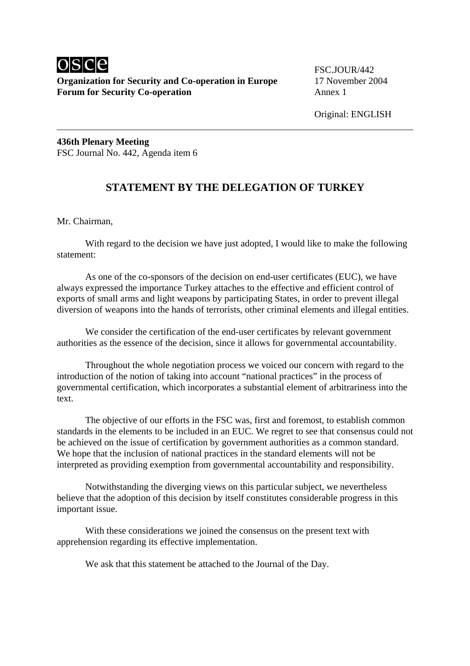

Original: ENGLISH

**436th Plenary Meeting**  FSC Journal No. 442, Agenda item 6

# **STATEMENT BY THE DELEGATION OF TURKEY**

Mr. Chairman,

 With regard to the decision we have just adopted, I would like to make the following statement:

 As one of the co-sponsors of the decision on end-user certificates (EUC), we have always expressed the importance Turkey attaches to the effective and efficient control of exports of small arms and light weapons by participating States, in order to prevent illegal diversion of weapons into the hands of terrorists, other criminal elements and illegal entities.

 We consider the certification of the end-user certificates by relevant government authorities as the essence of the decision, since it allows for governmental accountability.

 Throughout the whole negotiation process we voiced our concern with regard to the introduction of the notion of taking into account "national practices" in the process of governmental certification, which incorporates a substantial element of arbitrariness into the text.

 The objective of our efforts in the FSC was, first and foremost, to establish common standards in the elements to be included in an EUC. We regret to see that consensus could not be achieved on the issue of certification by government authorities as a common standard. We hope that the inclusion of national practices in the standard elements will not be interpreted as providing exemption from governmental accountability and responsibility.

 Notwithstanding the diverging views on this particular subject, we nevertheless believe that the adoption of this decision by itself constitutes considerable progress in this important issue.

 With these considerations we joined the consensus on the present text with apprehension regarding its effective implementation.

We ask that this statement be attached to the Journal of the Day.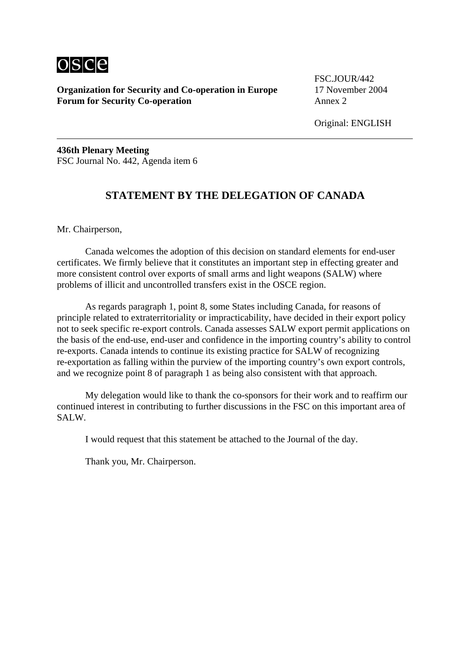

**Organization for Security and Co-operation in Europe** 17 November 2004 **Forum for Security Co-operation** Annex 2

FSC.JOUR/442

Original: ENGLISH

**436th Plenary Meeting**  FSC Journal No. 442, Agenda item 6

# **STATEMENT BY THE DELEGATION OF CANADA**

Mr. Chairperson,

 Canada welcomes the adoption of this decision on standard elements for end-user certificates. We firmly believe that it constitutes an important step in effecting greater and more consistent control over exports of small arms and light weapons (SALW) where problems of illicit and uncontrolled transfers exist in the OSCE region.

 As regards paragraph 1, point 8, some States including Canada, for reasons of principle related to extraterritoriality or impracticability, have decided in their export policy not to seek specific re-export controls. Canada assesses SALW export permit applications on the basis of the end-use, end-user and confidence in the importing country's ability to control re-exports. Canada intends to continue its existing practice for SALW of recognizing re-exportation as falling within the purview of the importing country's own export controls, and we recognize point 8 of paragraph 1 as being also consistent with that approach.

 My delegation would like to thank the co-sponsors for their work and to reaffirm our continued interest in contributing to further discussions in the FSC on this important area of SALW.

I would request that this statement be attached to the Journal of the day.

Thank you, Mr. Chairperson.